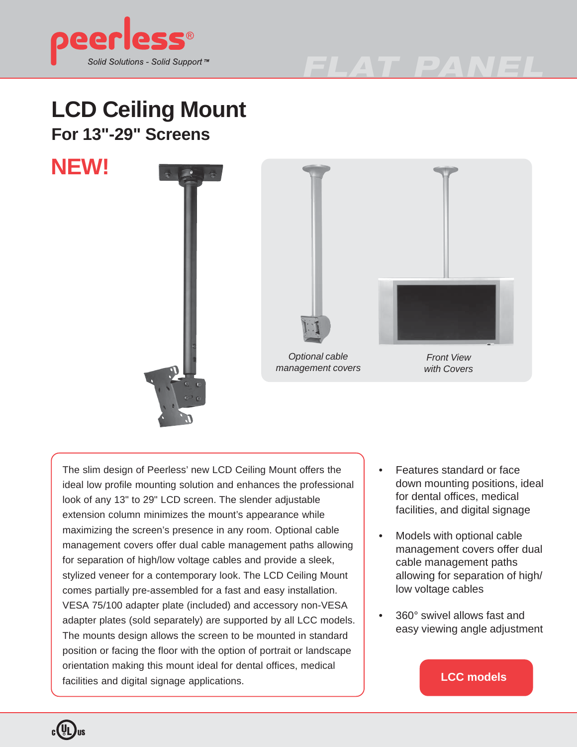

# *FLAT PANEL*

### **LCD Ceiling Mount For 13"-29" Screens**

**NEW!**





The slim design of Peerless' new LCD Ceiling Mount offers the ideal low profile mounting solution and enhances the professional look of any 13" to 29" LCD screen. The slender adjustable extension column minimizes the mount's appearance while maximizing the screen's presence in any room. Optional cable management covers offer dual cable management paths allowing for separation of high/low voltage cables and provide a sleek, stylized veneer for a contemporary look. The LCD Ceiling Mount comes partially pre-assembled for a fast and easy installation. VESA 75/100 adapter plate (included) and accessory non-VESA adapter plates (sold separately) are supported by all LCC models. The mounts design allows the screen to be mounted in standard position or facing the floor with the option of portrait or landscape orientation making this mount ideal for dental offices, medical facilities and digital signage applications.

- Features standard or face down mounting positions, ideal for dental offices, medical facilities, and digital signage
- Models with optional cable management covers offer dual cable management paths allowing for separation of high/ low voltage cables
- 360° swivel allows fast and easy viewing angle adjustment

```
LCC models
```